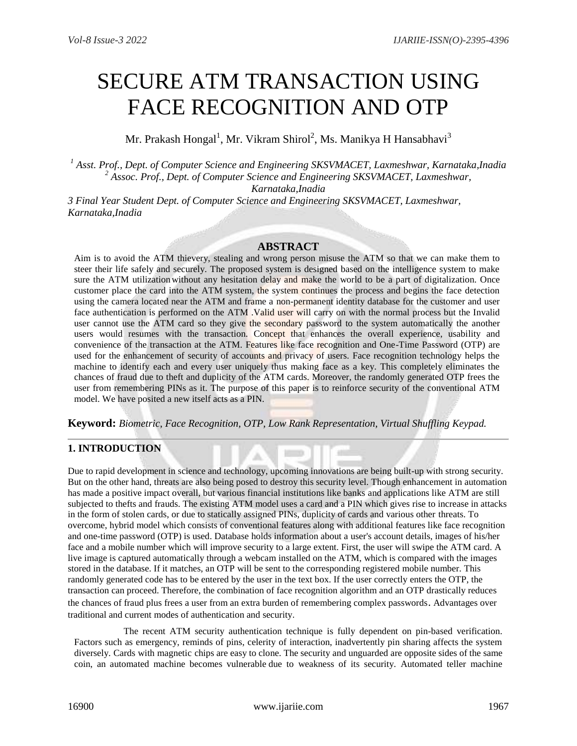# SECURE ATM TRANSACTION USING FACE RECOGNITION AND OTP

Mr. Prakash Hongal $^1$ , Mr. Vikram Shirol $^2$ , Ms. Manikya H Hansabhavi $^3$ 

*<sup>1</sup> Asst. Prof., Dept. of Computer Science and Engineering SKSVMACET, Laxmeshwar, Karnataka,Inadia <sup>2</sup> Assoc. Prof., Dept. of Computer Science and Engineering SKSVMACET, Laxmeshwar, Karnataka,Inadia*

*3 Final Year Student Dept. of Computer Science and Engineering SKSVMACET, Laxmeshwar, Karnataka,Inadia*

# **ABSTRACT**

Aim is to avoid the ATM thievery, stealing and wrong person misuse the ATM so that we can make them to steer their life safely and securely. The proposed system is designed based on the intelligence system to make sure the ATM utilization without any hesitation delay and make the world to be a part of digitalization. Once customer place the card into the ATM system, the system continues the process and begins the face detection using the camera located near the ATM and frame a non-permanent identity database for the customer and user face authentication is performed on the ATM .Valid user will carry on with the normal process but the Invalid user cannot use the ATM card so they give the secondary password to the system automatically the another users would resumes with the transaction. Concept that enhances the overall experience, usability and convenience of the transaction at the ATM. Features like face recognition and One-Time Password (OTP) are used for the enhancement of security of accounts and privacy of users. Face recognition technology helps the machine to identify each and every user uniquely thus making face as a key. This completely eliminates the chances of fraud due to theft and duplicity of the ATM cards. Moreover, the randomly generated OTP frees the user from remembering PINs as it. The purpose of this paper is to reinforce security of the conventional ATM model. We have posited a new itself acts as a PIN.

# **Keyword:** *Biometric, Face Recognition, OTP, Low Rank Representation, Virtual Shuffling Keypad.*

# **1. INTRODUCTION**

Due to rapid development in science and technology, upcoming innovations are being built-up with strong security. But on the other hand, threats are also being posed to destroy this security level. Though enhancement in automation has made a positive impact overall, but various financial institutions like banks and applications like ATM are still subjected to thefts and frauds. The existing ATM model uses a card and a PIN which gives rise to increase in attacks in the form of stolen cards, or due to statically assigned PINs, duplicity of cards and various other threats. To overcome, hybrid model which consists of conventional features along with additional features like face recognition and one-time password (OTP) is used. Database holds information about a user's account details, images of his/her face and a mobile number which will improve security to a large extent. First, the user will swipe the ATM card. A live image is captured automatically through a webcam installed on the ATM, which is compared with the images stored in the database. If it matches, an OTP will be sent to the corresponding registered mobile number. This randomly generated code has to be entered by the user in the text box. If the user correctly enters the OTP, the transaction can proceed. Therefore, the combination of face recognition algorithm and an OTP drastically reduces the chances of fraud plus frees a user from an extra burden of remembering complex passwords. Advantages over traditional and current modes of authentication and security.

The recent ATM security authentication technique is fully dependent on pin-based verification. Factors such as emergency, reminds of pins, celerity of interaction, inadvertently pin sharing affects the system diversely. Cards with magnetic chips are easy to clone. The security and unguarded are opposite sides of the same coin, an automated machine becomes vulnerable due to weakness of its security. Automated teller machine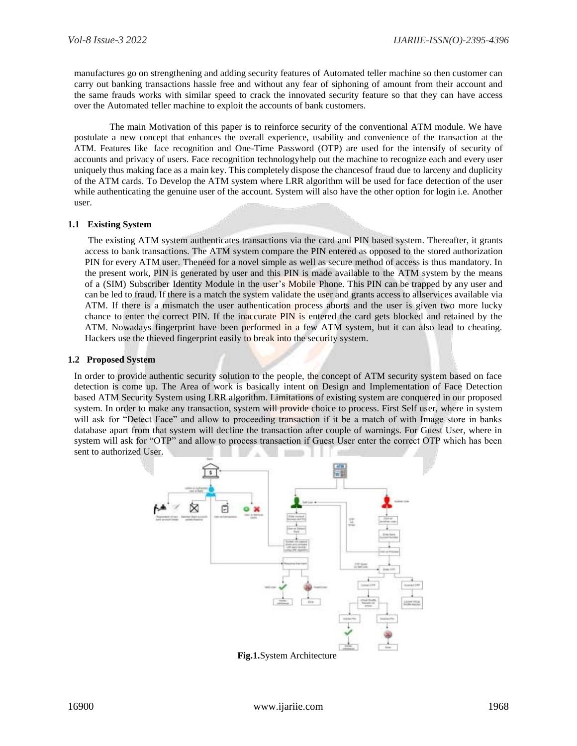manufactures go on strengthening and adding security features of Automated teller machine so then customer can carry out banking transactions hassle free and without any fear of siphoning of amount from their account and the same frauds works with similar speed to crack the innovated security feature so that they can have access over the Automated teller machine to exploit the accounts of bank customers.

The main Motivation of this paper is to reinforce security of the conventional ATM module. We have postulate a new concept that enhances the overall experience, usability and convenience of the transaction at the ATM. Features like face recognition and One-Time Password (OTP) are used for the intensify of security of accounts and privacy of users. Face recognition technologyhelp out the machine to recognize each and every user uniquely thus making face as a main key. This completely dispose the chancesof fraud due to larceny and duplicity of the ATM cards. To Develop the ATM system where LRR algorithm will be used for face detection of the user while authenticating the genuine user of the account. System will also have the other option for login i.e. Another user.

#### **1.1 Existing System**

The existing ATM system authenticates transactions via the card and PIN based system. Thereafter, it grants access to bank transactions. The ATM system compare the PIN entered as opposed to the stored authorization PIN for every ATM user. Theneed for a novel simple as well as secure method of access is thus mandatory. In the present work, PIN is generated by user and this PIN is made available to the ATM system by the means of a (SIM) Subscriber Identity Module in the user's Mobile Phone. This PIN can be trapped by any user and can be led to fraud. If there is a match the system validate the user and grants access to allservices available via ATM. If there is a mismatch the user authentication process aborts and the user is given two more lucky chance to enter the correct PIN. If the inaccurate PIN is entered the card gets blocked and retained by the ATM. Nowadays fingerprint have been performed in a few ATM system, but it can also lead to cheating. Hackers use the thieved fingerprint easily to break into the security system.

#### **1.2 Proposed System**

In order to provide authentic security solution to the people, the concept of ATM security system based on face detection is come up. The Area of work is basically intent on Design and Implementation of Face Detection based ATM Security System using LRR algorithm. Limitations of existing system are conquered in our proposed system. In order to make any transaction, system will provide choice to process. First Self user, where in system will ask for "Detect Face" and allow to proceeding transaction if it be a match of with Image store in banks database apart from that system will decline the transaction after couple of warnings. For Guest User, where in system will ask for "OTP" and allow to process transaction if Guest User enter the correct OTP which has been sent to authorized User.



**Fig.1.**System Architecture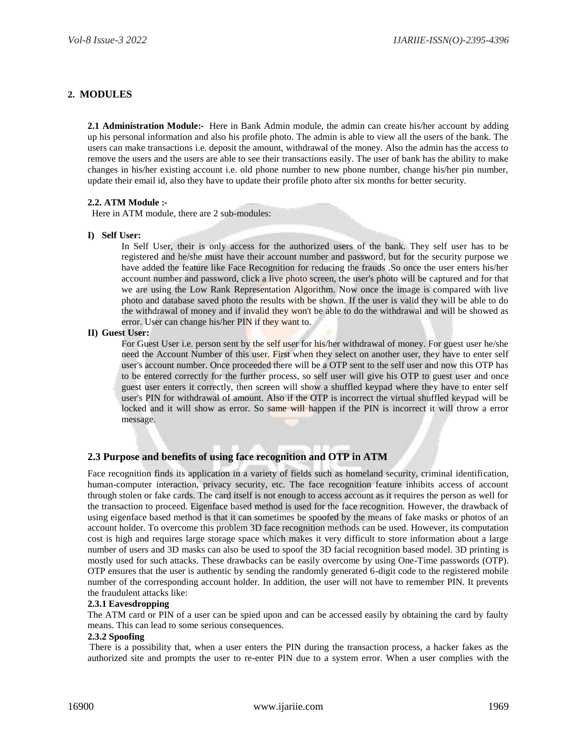# **2. MODULES**

**2.1 Administration Module:-** Here in Bank Admin module, the admin can create his/her account by adding up his personal information and also his profile photo. The admin is able to view all the users of the bank. The users can make transactions i.e. deposit the amount, withdrawal of the money. Also the admin has the access to remove the users and the users are able to see their transactions easily. The user of bank has the ability to make changes in his/her existing account i.e. old phone number to new phone number, change his/her pin number, update their email id, also they have to update their profile photo after six months for better security.

## **2.2. ATM Module :-**

Here in ATM module, there are 2 sub-modules:

## **I) Self User:**

In Self User, their is only access for the authorized users of the bank. They self user has to be registered and he/she must have their account number and password, but for the security purpose we have added the feature like Face Recognition for reducing the frauds .So once the user enters his/her account number and password, click a live photo screen, the user's photo will be captured and for that we are using the Low Rank Representation Algorithm. Now once the image is compared with live photo and database saved photo the results with be shown. If the user is valid they will be able to do the withdrawal of money and if invalid they won't be able to do the withdrawal and will be showed as error. User can change his/her PIN if they want to.

#### **II) Guest User:**

For Guest User i.e. person sent by the self user for his/her withdrawal of money. For guest user he/she need the Account Number of this user. First when they select on another user, they have to enter self user's account number. Once proceeded there will be a OTP sent to the self user and now this OTP has to be entered correctly for the further process, so self user will give his OTP to guest user and once guest user enters it correctly, then screen will show a shuffled keypad where they have to enter self user's PIN for withdrawal of amount. Also if the OTP is incorrect the virtual shuffled keypad will be locked and it will show as error. So same will happen if the PIN is incorrect it will throw a error message.

# **2.3 Purpose and benefits of using face recognition and OTP in ATM**

Face recognition finds its application in a variety of fields such as homeland security, criminal identification, human-computer interaction, privacy security, etc. The face recognition feature inhibits access of account through stolen or fake cards. The card itself is not enough to access account as it requires the person as well for the transaction to proceed. Eigenface based method is used for the face recognition. However, the drawback of using eigenface based method is that it can sometimes be spoofed by the means of fake masks or photos of an account holder. To overcome this problem 3D face recognition methods can be used. However, its computation cost is high and requires large storage space which makes it very difficult to store information about a large number of users and 3D masks can also be used to spoof the 3D facial recognition based model. 3D printing is mostly used for such attacks. These drawbacks can be easily overcome by using One-Time passwords (OTP). OTP ensures that the user is authentic by sending the randomly generated 6-digit code to the registered mobile number of the corresponding account holder. In addition, the user will not have to remember PIN. It prevents the fraudulent attacks like:

# **2.3.1 Eavesdropping**

The ATM card or PIN of a user can be spied upon and can be accessed easily by obtaining the card by faulty means. This can lead to some serious consequences.

## **2.3.2 Spoofing**

There is a possibility that, when a user enters the PIN during the transaction process, a hacker fakes as the authorized site and prompts the user to re-enter PIN due to a system error. When a user complies with the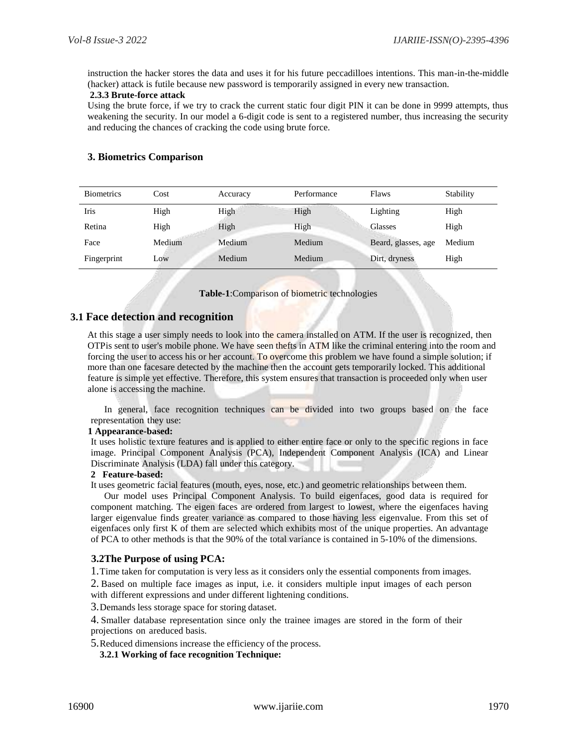instruction the hacker stores the data and uses it for his future peccadilloes intentions. This man-in-the-middle (hacker) attack is futile because new password is temporarily assigned in every new transaction.

## **2.3.3 Brute-force attack**

Using the brute force, if we try to crack the current static four digit PIN it can be done in 9999 attempts, thus weakening the security. In our model a 6-digit code is sent to a registered number, thus increasing the security and reducing the chances of cracking the code using brute force.

# **3. Biometrics Comparison**

| <b>Biometrics</b> | Cost   | Accuracy | Performance | Flaws               | Stability |
|-------------------|--------|----------|-------------|---------------------|-----------|
| Iris              | High   | High     | High        | Lighting            | High      |
| Retina            | High   | High     | High        | <b>Glasses</b>      | High      |
| Face              | Medium | Medium   | Medium      | Beard, glasses, age | Medium    |
| Fingerprint       | Low    | Medium   | Medium      | Dirt, dryness       | High      |

**Table-1**:Comparison of biometric technologies

# **3.1 Face detection and recognition**

At this stage a user simply needs to look into the camera installed on ATM. If the user is recognized, then OTPis sent to user's mobile phone. We have seen thefts in ATM like the criminal entering into the room and forcing the user to access his or her account. To overcome this problem we have found a simple solution; if more than one facesare detected by the machine then the account gets temporarily locked. This additional feature is simple yet effective. Therefore, this system ensures that transaction is proceeded only when user alone is accessing the machine.

In general, face recognition techniques can be divided into two groups based on the face representation they use:

## **1 Appearance-based:**

It uses holistic texture features and is applied to either entire face or only to the specific regions in face image. Principal Component Analysis (PCA), Independent Component Analysis (ICA) and Linear Discriminate Analysis (LDA) fall under this category.

#### **2 Feature-based:**

It uses geometric facial features (mouth, eyes, nose, etc.) and geometric relationships between them.

Our model uses Principal Component Analysis. To build eigenfaces, good data is required for component matching. The eigen faces are ordered from largest to lowest, where the eigenfaces having larger eigenvalue finds greater variance as compared to those having less eigenvalue. From this set of eigenfaces only first K of them are selected which exhibits most of the unique properties. An advantage of PCA to other methods is that the 90% of the total variance is contained in 5-10% of the dimensions.

## **3.2The Purpose of using PCA:**

1.Time taken for computation is very less as it considers only the essential components from images.

2. Based on multiple face images as input, i.e. it considers multiple input images of each person with different expressions and under different lightening conditions.

3.Demands less storage space for storing dataset.

4. Smaller database representation since only the trainee images are stored in the form of their projections on areduced basis.

5.Reduced dimensions increase the efficiency of the process.

**3.2.1 Working of face recognition Technique:**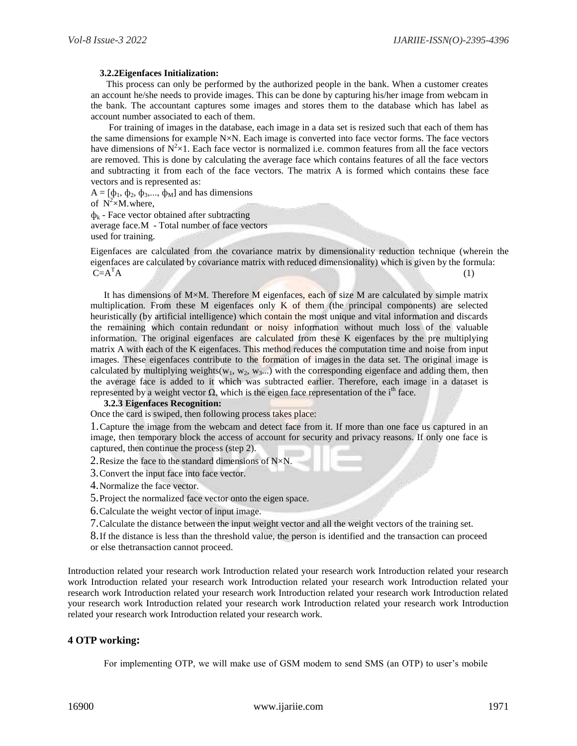#### **3.2.2Eigenfaces Initialization:**

This process can only be performed by the authorized people in the bank. When a customer creates an account he/she needs to provide images. This can be done by capturing his/her image from webcam in the bank. The accountant captures some images and stores them to the database which has label as account number associated to each of them.

For training of images in the database, each image in a data set is resized such that each of them has the same dimensions for example N×N. Each image is converted into face vector forms. The face vectors have dimensions of  $N^2 \times 1$ . Each face vector is normalized i.e. common features from all the face vectors are removed. This is done by calculating the average face which contains features of all the face vectors and subtracting it from each of the face vectors. The matrix A is formed which contains these face vectors and is represented as:

 $A = [\phi_1, \phi_2, \phi_3, \dots, \phi_M]$  and has dimensions

of  $N^2\times M$ . where,

 $\phi_k$  - Face vector obtained after subtracting average face.M - Total number of face vectors used for training.

Eigenfaces are calculated from the covariance matrix by dimensionality reduction technique (wherein the eigenfaces are calculated by covariance matrix with reduced dimensionality) which is given by the formula:  $C=A^{T}A$  (1)

It has dimensions of  $M \times M$ . Therefore M eigenfaces, each of size M are calculated by simple matrix multiplication. From these  $M$  eigenfaces only  $K$  of them (the principal components) are selected heuristically (by artificial intelligence) which contain the most unique and vital information and discards the remaining which contain redundant or noisy information without much loss of the valuable information. The original eigenfaces are calculated from these K eigenfaces by the pre multiplying matrix A with each of the K eigenfaces. This method reduces the computation time and noise from input images. These eigenfaces contribute to the formation of images in the data set. The original image is calculated by multiplying weights(w<sub>1</sub>, w<sub>2</sub>, w<sub>3</sub>...) with the corresponding eigenface and adding them, then the average face is added to it which was subtracted earlier. Therefore, each image in a dataset is represented by a weight vector  $\Omega$ , which is the eigen face representation of the i<sup>th</sup> face.

#### **3.2.3 Eigenfaces Recognition:**

Once the card is swiped, then following process takes place:

1.Capture the image from the webcam and detect face from it. If more than one face us captured in an image, then temporary block the access of account for security and privacy reasons. If only one face is captured, then continue the process (step 2).

2. Resize the face to the standard dimensions of  $N \times N$ .

3.Convert the input face into face vector.

4.Normalize the face vector.

5.Project the normalized face vector onto the eigen space.

6.Calculate the weight vector of input image.

7.Calculate the distance between the input weight vector and all the weight vectors of the training set.

8.If the distance is less than the threshold value, the person is identified and the transaction can proceed or else thetransaction cannot proceed.

Introduction related your research work Introduction related your research work Introduction related your research work Introduction related your research work Introduction related your research work Introduction related your research work Introduction related your research work Introduction related your research work Introduction related your research work Introduction related your research work Introduction related your research work Introduction related your research work Introduction related your research work.

## **4 OTP working:**

For implementing OTP, we will make use of GSM modem to send SMS (an OTP) to user's mobile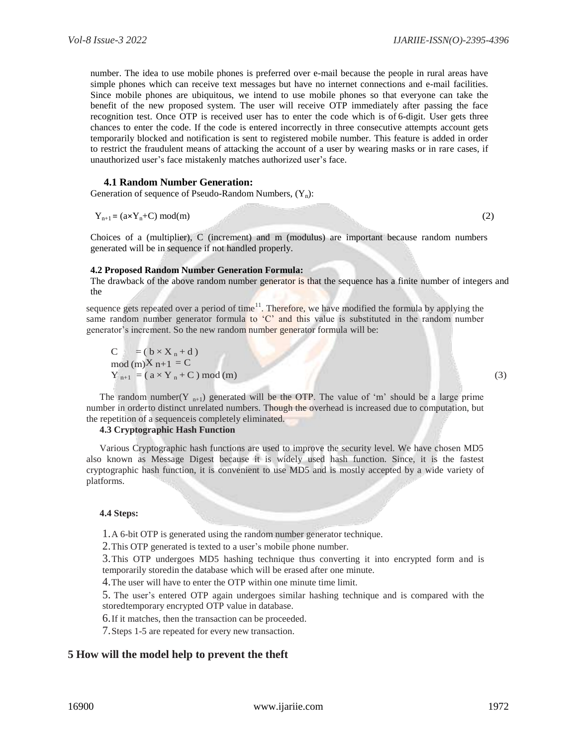number. The idea to use mobile phones is preferred over e-mail because the people in rural areas have simple phones which can receive text messages but have no internet connections and e-mail facilities. Since mobile phones are ubiquitous, we intend to use mobile phones so that everyone can take the benefit of the new proposed system. The user will receive OTP immediately after passing the face recognition test. Once OTP is received user has to enter the code which is of 6-digit. User gets three chances to enter the code. If the code is entered incorrectly in three consecutive attempts account gets temporarily blocked and notification is sent to registered mobile number. This feature is added in order to restrict the fraudulent means of attacking the account of a user by wearing masks or in rare cases, if unauthorized user's face mistakenly matches authorized user's face.

#### **4.1 Random Number Generation:**

Generation of sequence of Pseudo-Random Numbers,  $(Y_n)$ :

$$
Y_{n+1} = (a \times Y_n + C) \mod(m) \tag{2}
$$

Choices of a (multiplier), C (increment) and m (modulus) are important because random numbers generated will be in sequence if not handled properly.

#### **4.2 Proposed Random Number Generation Formula:**

The drawback of the above random number generator is that the sequence has a finite number of integers and the

sequence gets repeated over a period of time<sup>11</sup>. Therefore, we have modified the formula by applying the same random number generator formula to 'C' and this value is substituted in the random number generator's increment. So the new random number generator formula will be:

 $C = (b \times X_n + d)$  $mod(m)X_{n+1} = C$  $Y_{n+1} = (a \times Y_n + C) \mod(m)$  (3)

The random number(Y<sub>n+1</sub>) generated will be the OTP. The value of 'm' should be a large prime number in orderto distinct unrelated numbers. Though the overhead is increased due to computation, but the repetition of a sequenceis completely eliminated.

#### **4.3 Cryptographic Hash Function**

Various Cryptographic hash functions are used to improve the security level. We have chosen MD5 also known as Message Digest because it is widely used hash function. Since, it is the fastest cryptographic hash function, it is convenient to use MD5 and is mostly accepted by a wide variety of platforms.

#### **4.4 Steps:**

1.A 6-bit OTP is generated using the random number generator technique.

2.This OTP generated is texted to a user's mobile phone number.

3.This OTP undergoes MD5 hashing technique thus converting it into encrypted form and is temporarily storedin the database which will be erased after one minute.

4.The user will have to enter the OTP within one minute time limit.

5. The user's entered OTP again undergoes similar hashing technique and is compared with the storedtemporary encrypted OTP value in database.

6.If it matches, then the transaction can be proceeded.

7.Steps 1-5 are repeated for every new transaction.

## **5 How will the model help to prevent the theft**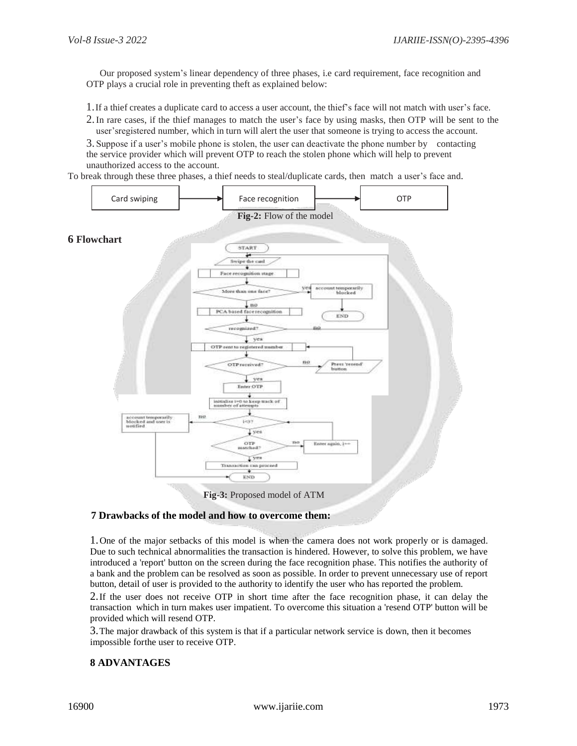Our proposed system's linear dependency of three phases, i.e card requirement, face recognition and OTP plays a crucial role in preventing theft as explained below:

1.If a thief creates a duplicate card to access a user account, the thief's face will not match with user's face.

2.In rare cases, if the thief manages to match the user's face by using masks, then OTP will be sent to the user'sregistered number, which in turn will alert the user that someone is trying to access the account.

3. Suppose if a user's mobile phone is stolen, the user can deactivate the phone number by contacting the service provider which will prevent OTP to reach the stolen phone which will help to prevent unauthorized access to the account.

To break through these three phases, a thief needs to steal/duplicate cards, then match a user's face and.



**Fig-3:** Proposed model of ATM

# **7 Drawbacks of the model and how to overcome them:**

1.One of the major setbacks of this model is when the camera does not work properly or is damaged. Due to such technical abnormalities the transaction is hindered. However, to solve this problem, we have introduced a 'report' button on the screen during the face recognition phase. This notifies the authority of a bank and the problem can be resolved as soon as possible. In order to prevent unnecessary use of report button, detail of user is provided to the authority to identify the user who has reported the problem.

2.If the user does not receive OTP in short time after the face recognition phase, it can delay the transaction which in turn makes user impatient. To overcome this situation a 'resend OTP' button will be provided which will resend OTP.

3.The major drawback of this system is that if a particular network service is down, then it becomes impossible forthe user to receive OTP.

# **8 ADVANTAGES**